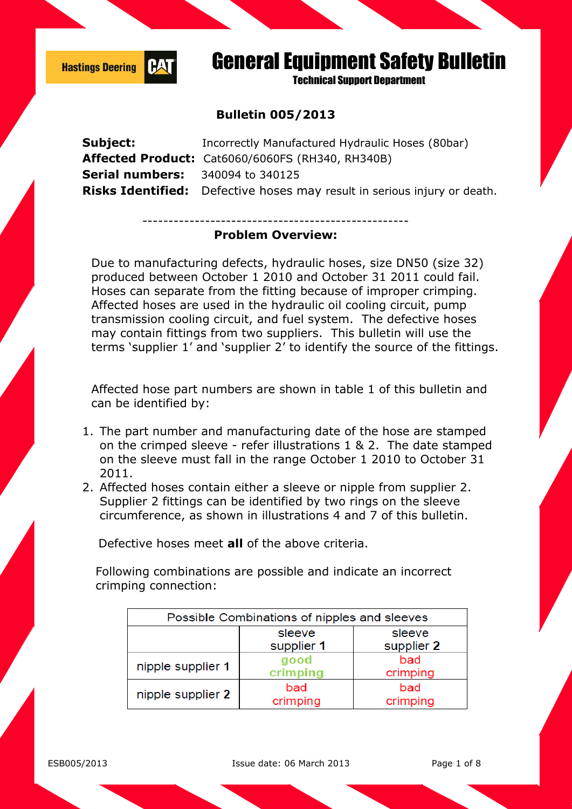

**Technical Sunnort Department** 

#### **Bulletin 005/2013**

| Subject:                                | Incorrectly Manufactured Hydraulic Hoses (80bar)                                |
|-----------------------------------------|---------------------------------------------------------------------------------|
|                                         | Affected Product: Cat6060/6060FS (RH340, RH340B)                                |
| <b>Serial numbers:</b> 340094 to 340125 |                                                                                 |
|                                         | <b>Risks Identified:</b> Defective hoses may result in serious injury or death. |
|                                         |                                                                                 |

#### --------------------------------------------------- **Problem Overview:**

Due to manufacturing defects, hydraulic hoses, size DN50 (size 32) produced between October 1 2010 and October 31 2011 could fail. Hoses can separate from the fitting because of improper crimping. Affected hoses are used in the hydraulic oil cooling circuit, pump transmission cooling circuit, and fuel system. The defective hoses may contain fittings from two suppliers. This bulletin will use the terms 'supplier 1' and 'supplier 2' to identify the source of the fittings.

Affected hose part numbers are shown in table 1 of this bulletin and can be identified by:

- 1. The part number and manufacturing date of the hose are stamped on the crimped sleeve - refer illustrations 1 & 2. The date stamped on the sleeve must fall in the range October 1 2010 to October 31 2011.
- 2. Affected hoses contain either a sleeve or nipple from supplier 2. Supplier 2 fittings can be identified by two rings on the sleeve circumference, as shown in illustrations 4 and 7 of this bulletin.

Defective hoses meet **all** of the above criteria.

Following combinations are possible and indicate an incorrect crimping connection:

| Possible Combinations of nipples and sleeves |                      |                      |  |  |
|----------------------------------------------|----------------------|----------------------|--|--|
|                                              | sleeve<br>supplier 1 | sleeve<br>supplier 2 |  |  |
| nipple supplier 1                            | good<br>crimping     | bad<br>crimping      |  |  |
| nipple supplier 2                            | bad<br>crimping      | bad<br>crimping      |  |  |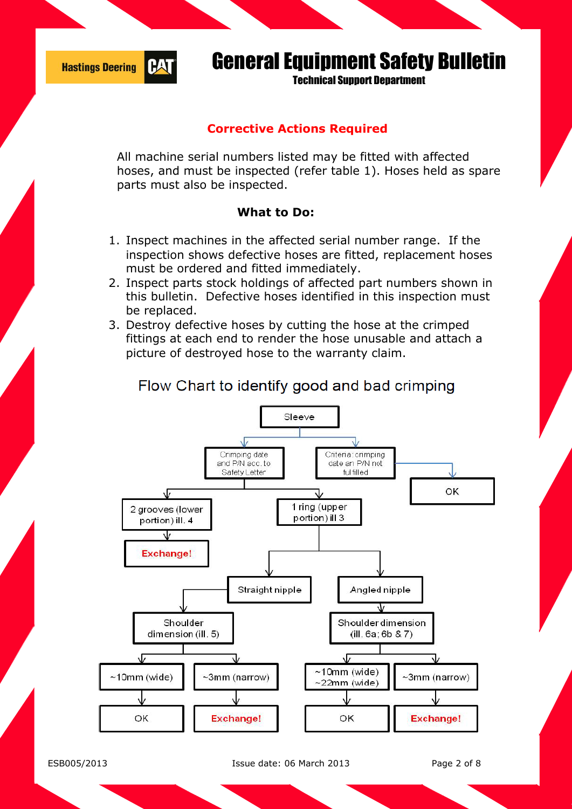

**Technical Sunnort Department** 

### **Corrective Actions Required**

All machine serial numbers listed may be fitted with affected hoses, and must be inspected (refer table 1). Hoses held as spare parts must also be inspected.

#### **What to Do:**

- 1. Inspect machines in the affected serial number range. If the inspection shows defective hoses are fitted, replacement hoses must be ordered and fitted immediately.
- 2. Inspect parts stock holdings of affected part numbers shown in this bulletin. Defective hoses identified in this inspection must be replaced.
- 3. Destroy defective hoses by cutting the hose at the crimped fittings at each end to render the hose unusable and attach a picture of destroyed hose to the warranty claim.

# Flow Chart to identify good and bad crimping Sleeve



ESB005/2013 Issue date: 06 March 2013 Page 2 of 8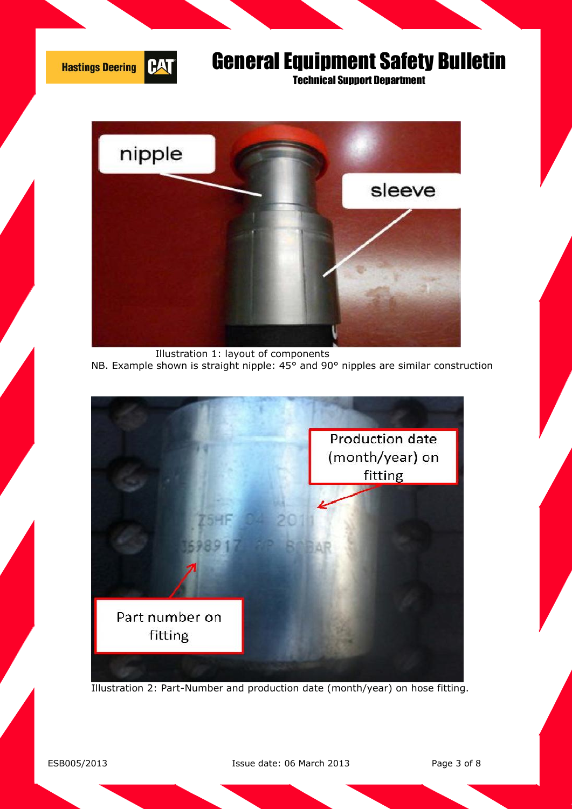

Technical Support Department



 Illustration 1: layout of components NB. Example shown is straight nipple: 45° and 90° nipples are similar construction



Illustration 2: Part-Number and production date (month/year) on hose fitting.

ESB005/2013 Issue date: 06 March 2013 Page 3 of 8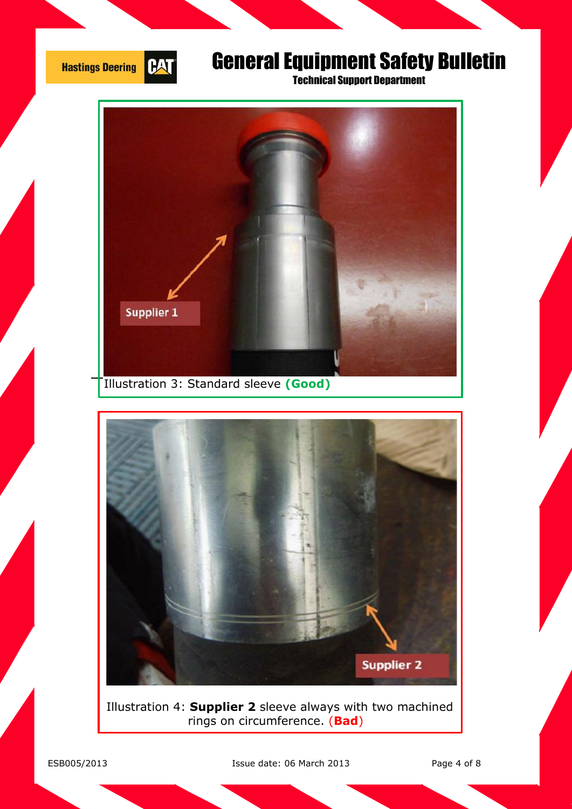

Technical Support Department





 Illustration 4: **Supplier 2** sleeve always with two machined rings on circumference. (**Bad**)

ESB005/2013 Issue date: 06 March 2013 Page 4 of 8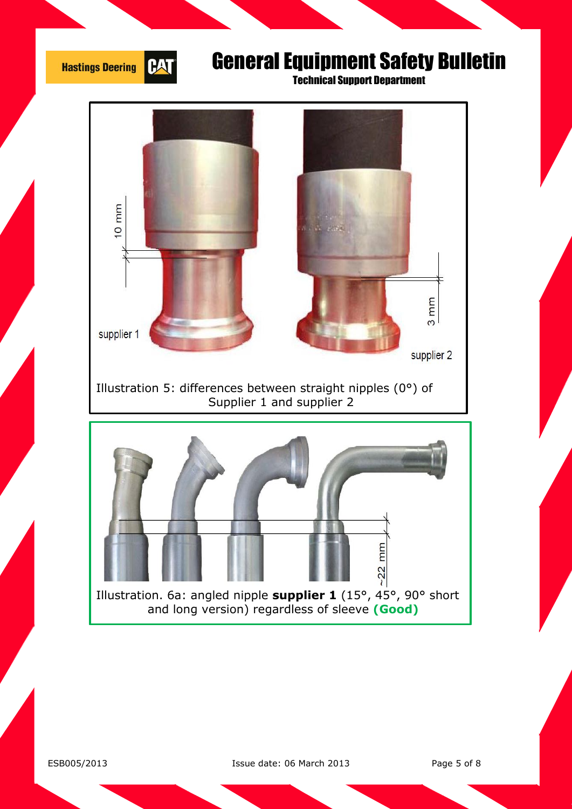

ESB005/2013 Issue date: 06 March 2013 Page 5 of 8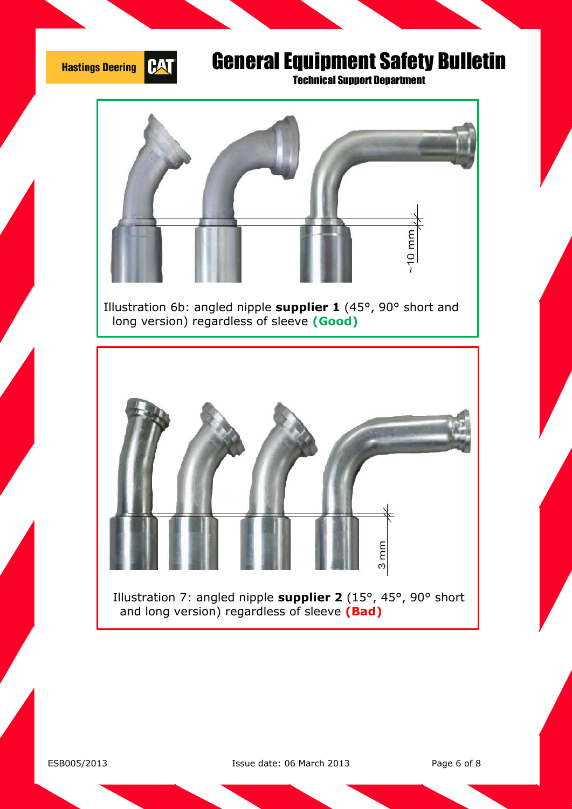

Technical Support Department



 Illustration 6b: angled nipple **supplier 1** (45°, 90° short and long version) regardless of sleeve **(Good)**



 Illustration 7: angled nipple **supplier 2** (15°, 45°, 90° short and long version) regardless of sleeve **(Bad)**

ESB005/2013 Issue date: 06 March 2013 Page 6 of 8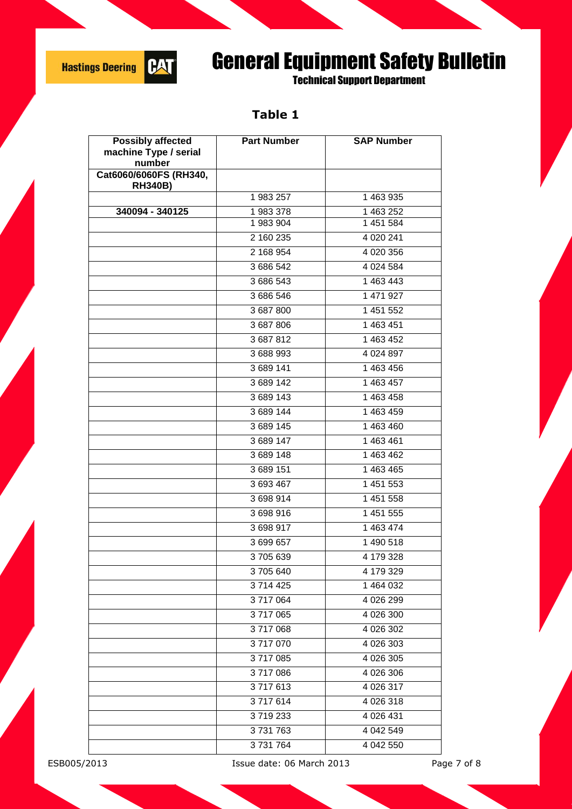

Technical Support Department

### **Table 1**

| <b>Possibly affected</b>                 | <b>Part Number</b> | <b>SAP Number</b>      |
|------------------------------------------|--------------------|------------------------|
| machine Type / serial<br>number          |                    |                        |
| Cat6060/6060FS (RH340,<br><b>RH340B)</b> |                    |                        |
|                                          | 1 983 257          | 1 463 935              |
| 340094 - 340125                          | 1983378            | 1 463 252              |
|                                          | 1983904            | 1 451 584              |
|                                          | 2 160 235          | 4 0 20 241             |
|                                          | 2 168 954          | 4 020 356              |
|                                          | 3 686 542          | 4 0 24 5 84            |
|                                          | 3 686 543          | 1 463 443              |
|                                          | 3 686 546          | 1 471 927              |
|                                          | 3 687 800          | 1 451 552              |
|                                          | 3 687 806          | $\overline{1}$ 463 451 |
|                                          | 3687812            | 1 463 452              |
|                                          | 3 688 993          | 4 0 24 8 97            |
|                                          | 3 689 141          | 1 463 456              |
|                                          | 3 689 142          | 1 463 457              |
|                                          | 3689143            | 1 463 458              |
|                                          | 3 689 144          | 1 463 459              |
|                                          | 3 689 145          | 1 463 460              |
|                                          | 3 689 147          | 1 463 461              |
|                                          | 3689148            | 1 463 462              |
|                                          | 3 689 151          | 1 463 465              |
|                                          | 3 693 467          | 1 451 553              |
|                                          | 3698914            | 1 451 558              |
|                                          | 3698916            | 1 451 555              |
|                                          | 3698917            | 1 463 474              |
|                                          | 3699657            | 1 490 518              |
|                                          | 3705639            | 4 179 328              |
|                                          | 3705640            | 4 179 329              |
|                                          | 3714425            | 1 464 032              |
|                                          | 3717064            | 4 026 299              |
|                                          | 3717065            | 4 026 300              |
|                                          | 3717068            | 4 026 302              |
|                                          | 3717070            | 4 026 303              |
|                                          | 3717085            | 4 026 305              |
|                                          | 3717086            | 4 026 306              |
|                                          | 3717613            | 4 0 26 317             |
|                                          | 3717614            | 4 0 26 318             |
|                                          | 3719233            | 4 026 431              |
|                                          | 3731763            | 4 042 549              |
|                                          | 3731764            | 4 042 550              |

ESB005/2013 Issue date: 06 March 2013 Page 7 of 8